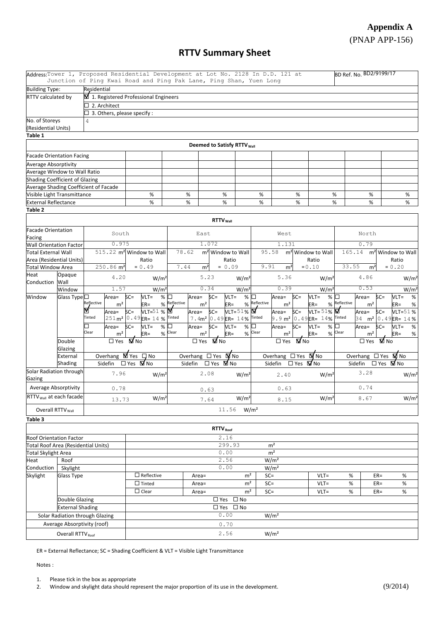# **Appendix A** (PNAP APP-156)

## **RTTV Summary Sheet**

| Address: Tower 1, Proposed Residential Development at Lot No. 2128 In D.D. 121 at | Junction of Ping Kwai Road and Ping Pak Lane, Ping Shan, Yuen Long |               |                                      |                                           |                                         |                                           |                                                     |                             |                                        |                          |                                               |                  |                          |                                        |                       | BD Ref. No. BD2/9199/17 |                        |                                                     |  |
|-----------------------------------------------------------------------------------|--------------------------------------------------------------------|---------------|--------------------------------------|-------------------------------------------|-----------------------------------------|-------------------------------------------|-----------------------------------------------------|-----------------------------|----------------------------------------|--------------------------|-----------------------------------------------|------------------|--------------------------|----------------------------------------|-----------------------|-------------------------|------------------------|-----------------------------------------------------|--|
| <b>Building Type:</b>                                                             |                                                                    | Residential   |                                      |                                           |                                         |                                           |                                                     |                             |                                        |                          |                                               |                  |                          |                                        |                       |                         |                        |                                                     |  |
| RTTV calculated by                                                                |                                                                    |               | 1. Registered Professional Engineers |                                           |                                         |                                           |                                                     |                             |                                        |                          |                                               |                  |                          |                                        |                       |                         |                        |                                                     |  |
|                                                                                   |                                                                    |               | $\Box$ 2. Architect                  |                                           |                                         |                                           |                                                     |                             |                                        |                          |                                               |                  |                          |                                        |                       |                         |                        |                                                     |  |
|                                                                                   |                                                                    |               | $\Box$ 3. Others, please specify :   |                                           |                                         |                                           |                                                     |                             |                                        |                          |                                               |                  |                          |                                        |                       |                         |                        |                                                     |  |
| No. of Storeys                                                                    |                                                                    | 4             |                                      |                                           |                                         |                                           |                                                     |                             |                                        |                          |                                               |                  |                          |                                        |                       |                         |                        |                                                     |  |
| (Residential Units)                                                               |                                                                    |               |                                      |                                           |                                         |                                           |                                                     |                             |                                        |                          |                                               |                  |                          |                                        |                       |                         |                        |                                                     |  |
| Table 1                                                                           |                                                                    |               |                                      |                                           |                                         |                                           |                                                     |                             |                                        |                          |                                               |                  |                          |                                        |                       |                         |                        |                                                     |  |
|                                                                                   |                                                                    |               |                                      |                                           |                                         |                                           |                                                     |                             | Deemed to Satisfy RTTV <sub>Wall</sub> |                          |                                               |                  |                          |                                        |                       |                         |                        |                                                     |  |
| <b>Facade Orientation Facing</b>                                                  |                                                                    |               |                                      |                                           |                                         |                                           |                                                     |                             |                                        |                          |                                               |                  |                          |                                        |                       |                         |                        |                                                     |  |
| Average Absorptivity                                                              |                                                                    |               |                                      |                                           |                                         |                                           |                                                     |                             |                                        |                          |                                               |                  |                          |                                        |                       |                         |                        |                                                     |  |
| Average Window to Wall Ratio                                                      |                                                                    |               |                                      |                                           |                                         |                                           |                                                     |                             |                                        |                          |                                               |                  |                          |                                        |                       |                         |                        |                                                     |  |
| Shading Coefficient of Glazing                                                    |                                                                    |               |                                      |                                           |                                         |                                           |                                                     |                             |                                        |                          |                                               |                  |                          |                                        |                       |                         |                        |                                                     |  |
| Average Shading Coefficient of Facade                                             |                                                                    |               |                                      |                                           |                                         |                                           |                                                     |                             |                                        |                          |                                               |                  |                          |                                        |                       |                         |                        |                                                     |  |
| Visible Light Transmittance                                                       |                                                                    |               |                                      |                                           | $\%$                                    |                                           | %                                                   |                             | %                                      |                          | $\%$                                          |                  | %                        |                                        | %<br>%                |                         |                        | %                                                   |  |
| <b>External Reflectance</b>                                                       |                                                                    |               |                                      |                                           | $\%$                                    |                                           | $\%$                                                |                             | $\%$                                   |                          | $\%$                                          |                  | $\%$                     |                                        | $\%$                  | %                       |                        | %                                                   |  |
| Table 2                                                                           |                                                                    |               |                                      |                                           |                                         |                                           |                                                     |                             |                                        |                          |                                               |                  |                          |                                        |                       |                         |                        |                                                     |  |
|                                                                                   |                                                                    |               |                                      |                                           |                                         |                                           |                                                     | <b>RTTV</b> <sub>Wall</sub> |                                        |                          |                                               |                  |                          |                                        |                       |                         |                        |                                                     |  |
| <b>Facade Orientation</b>                                                         |                                                                    |               |                                      |                                           |                                         |                                           |                                                     |                             |                                        |                          |                                               |                  |                          |                                        |                       |                         |                        |                                                     |  |
| Facing                                                                            |                                                                    | South         |                                      |                                           |                                         | East                                      |                                                     |                             | West                                   |                          |                                               |                  |                          |                                        | North                 |                         |                        |                                                     |  |
| <b>Wall Orientation Factor</b>                                                    |                                                                    |               | 0.975                                |                                           |                                         |                                           | 1.072                                               |                             |                                        |                          | 1.131                                         |                  |                          |                                        | 0.79                  |                         |                        |                                                     |  |
| Total External Wall                                                               |                                                                    |               |                                      | $515.22$ m <sup>2</sup> Window to Wall    |                                         |                                           | 78.62                                               |                             | m <sup>2</sup> Window to Wall          |                          | 95.58                                         |                  |                          | m <sup>2</sup> Window to Wall          |                       | 165.14                  |                        | m <sup>2</sup> Window to Wall                       |  |
| Area (Residential Units)                                                          |                                                                    |               |                                      | Ratio                                     |                                         |                                           |                                                     |                             |                                        |                          |                                               |                  |                          | Ratio                                  |                       |                         |                        | Ratio                                               |  |
| <b>Total Window Area</b>                                                          |                                                                    |               | 250.86 m <sup>2</sup>                | $= 0.49$                                  |                                         | 7.44                                      | m <sup>2</sup>                                      |                             | $= 0.09$                               |                          | 9.91                                          | m <sup>2</sup>   |                          | $= 0.10$                               | 33.55                 | m <sup>2</sup>          |                        | $= 0.20$                                            |  |
| Heat<br>Conduction Wall                                                           | Opaque                                                             |               | 4.20                                 |                                           | W/m <sup>2</sup>                        |                                           |                                                     | 5.23                        | W/m <sup>2</sup>                       |                          |                                               | 5.36             |                          | W/m <sup>2</sup>                       |                       | 4.86                    |                        | W/m <sup>2</sup>                                    |  |
|                                                                                   | Window                                                             |               | 1.57                                 |                                           | W/m <sup>2</sup>                        |                                           |                                                     | 0.34                        | W/m <sup>2</sup>                       |                          |                                               | 0.39             |                          | W/m <sup>2</sup>                       |                       | 0.53                    |                        | W/m <sup>2</sup>                                    |  |
| Window                                                                            | Glass Type $\square$                                               |               | Area=                                | $SC =$                                    | $VLT =$                                 | $\%$ $\square$                            | Area=                                               | $SC =$                      | $VLT =$                                | $\%$<br>⊡                |                                               | Area=            | $SC =$                   | $VLT =$                                | $\%$ $\square$        | Area=                   | $SC =$                 | $VLT =$<br>%                                        |  |
|                                                                                   |                                                                    | Reflective    | m <sup>2</sup>                       |                                           | $ER =$                                  | % Reflective                              | m <sup>2</sup>                                      |                             | $ER =$                                 |                          | % Reflective                                  | m <sup>2</sup>   |                          | $ER =$                                 | % Reflective          | m <sup>2</sup>          |                        | $ER =$<br>%                                         |  |
|                                                                                   |                                                                    | M             | Area=                                | $SC =$                                    | VLT=51 % $\blacksquare$                 |                                           | Area=                                               | $SC =$                      | $VLT = 51%$                            |                          |                                               | Area=            | $SC =$                   | VLT= $51\%$                            |                       | Area=                   | $SC =$                 | VLT=51%                                             |  |
|                                                                                   |                                                                    | Tinted        |                                      |                                           | 251 m <sup>2</sup> 0.49 ER= 14 % Tinted |                                           |                                                     |                             | 7.4m <sup>2</sup> 0.49 ER= 14% Tinted  |                          |                                               |                  |                          | 9.9 m <sup>2</sup> 0.49 ER= 14% Tinted |                       |                         |                        | 34 m <sup>2</sup> 0.49 ER= 14%                      |  |
|                                                                                   |                                                                    | □<br>Clear    | Area=                                | $SC =$                                    | %<br>$VLT =$                            |                                           | Area=                                               | $SC =$                      | $VLT =$                                | %                        |                                               | Area=            | $SC =$                   | $\%$<br>$VLT =$                        |                       | Area=                   | $SC =$                 | $VLT =$<br>%                                        |  |
|                                                                                   |                                                                    |               | m <sup>2</sup>                       |                                           | $ER =$                                  | $%$ Clear                                 | m <sup>2</sup>                                      |                             | $ER =$                                 | $%$ Clear                |                                               | m <sup>2</sup>   |                          | $ER =$                                 | $%$ Clear             | m <sup>2</sup>          |                        | $\%$<br>$ER =$                                      |  |
|                                                                                   | Double                                                             | $\square$ Yes |                                      | M No                                      |                                         | $\overline{\Box}$ Yes                     |                                                     |                             | MINo                                   |                          | $\overline{\Box}$ Yes<br>M No                 |                  |                          |                                        | $\overline{\Box}$ Yes |                         | <b>M</b> <sub>No</sub> |                                                     |  |
|                                                                                   | Glazing                                                            |               |                                      |                                           |                                         |                                           | Overhang $\Box$ Yes $\overline{\mathbf{\nabla}}$ No |                             |                                        |                          |                                               |                  |                          |                                        |                       |                         |                        | Overhang $\Box$ Yes $\overline{\mathbf{\nabla}}$ No |  |
|                                                                                   | External                                                           |               | Overhang MYes                        | $\square$ No                              |                                         |                                           | Sidefin                                             |                             | $\Box$ Yes $\Box$ No                   |                          | Overhang $\Box$ Yes<br>Sidefin<br>□ Yes MV No |                  |                          | $\nabla$ No                            |                       | Sidefin                 |                        |                                                     |  |
|                                                                                   | Shading                                                            |               | Sidefin                              | □ Yes MI No                               |                                         |                                           |                                                     |                             |                                        |                          |                                               |                  |                          |                                        |                       |                         | $\Box$ Yes $\Box$ No   |                                                     |  |
| Solar Radiation through<br>Gazing                                                 |                                                                    |               | 7.96                                 | W/m <sup>2</sup>                          |                                         |                                           | 2.08                                                |                             |                                        | W/m <sup>2</sup>         |                                               |                  | W/m <sup>2</sup><br>2.40 |                                        |                       | 3.28                    |                        | W/m <sup>2</sup>                                    |  |
| Average Absorptivity                                                              |                                                                    |               | 0.78                                 |                                           |                                         |                                           | 0.63                                                |                             |                                        |                          |                                               | 0.63             |                          |                                        | 0.74                  |                         |                        |                                                     |  |
| RTTV wall at each facade                                                          |                                                                    |               | 13.73                                | W/m <sup>2</sup>                          |                                         |                                           | W/m <sup>2</sup><br>7.64                            |                             |                                        | W/m <sup>2</sup><br>8.15 |                                               |                  |                          | 8.67                                   |                       |                         | W/m <sup>2</sup>       |                                                     |  |
| Overall RTTV <sub>Wall</sub>                                                      |                                                                    |               |                                      |                                           |                                         |                                           |                                                     |                             | $11.56$ W/m <sup>2</sup>               |                          |                                               |                  |                          |                                        |                       |                         |                        |                                                     |  |
| Table 3                                                                           |                                                                    |               |                                      |                                           |                                         |                                           |                                                     |                             |                                        |                          |                                               |                  |                          |                                        |                       |                         |                        |                                                     |  |
|                                                                                   |                                                                    |               |                                      |                                           |                                         |                                           |                                                     | RTTV <sub>Roof</sub>        |                                        |                          |                                               |                  |                          |                                        |                       |                         |                        |                                                     |  |
| <b>Roof Orientation Factor</b>                                                    |                                                                    |               |                                      |                                           |                                         |                                           |                                                     |                             | 2.16                                   |                          |                                               |                  |                          |                                        |                       |                         |                        |                                                     |  |
| Total Roof Area (Residential Units)                                               |                                                                    |               |                                      |                                           |                                         |                                           |                                                     |                             | 299.93                                 |                          |                                               | m <sup>2</sup>   |                          |                                        |                       |                         |                        |                                                     |  |
| Total Skylight Area                                                               |                                                                    |               |                                      |                                           |                                         |                                           |                                                     |                             | 0.00                                   |                          |                                               | m <sup>2</sup>   |                          |                                        |                       |                         |                        |                                                     |  |
| Heat                                                                              | Roof                                                               |               |                                      |                                           |                                         |                                           |                                                     |                             | 2.56                                   |                          |                                               | W/m <sup>2</sup> |                          |                                        |                       |                         |                        |                                                     |  |
| Conduction                                                                        | Skylight                                                           |               |                                      | 0.00<br>W/m <sup>2</sup>                  |                                         |                                           |                                                     |                             |                                        |                          |                                               |                  |                          |                                        |                       |                         |                        |                                                     |  |
| Skylight                                                                          | <b>Glass Type</b>                                                  |               |                                      |                                           | $\Box$ Reflective                       |                                           | $Area=$                                             |                             |                                        | m <sup>2</sup>           |                                               | $SC =$           |                          | $VLT =$                                |                       | %<br>$ER =$             |                        | %                                                   |  |
|                                                                                   |                                                                    |               |                                      | $\Box$ Tinted                             |                                         |                                           | $Area=$                                             |                             |                                        | m <sup>2</sup>           |                                               | $SC =$           |                          | $VLT =$                                | %                     |                         | $ER =$                 | %                                                   |  |
|                                                                                   |                                                                    |               |                                      |                                           |                                         | $\Box$ Clear<br>m <sup>2</sup><br>$Area=$ |                                                     |                             |                                        |                          |                                               | $SC =$           |                          | $VLT =$                                | %                     |                         | $ER =$                 | $\%$                                                |  |
|                                                                                   | <b>Double Glazing</b>                                              |               |                                      | $\overline{\Box$ Yes $\overline{\Box}$ No |                                         |                                           |                                                     |                             |                                        |                          |                                               |                  |                          |                                        |                       |                         |                        |                                                     |  |
|                                                                                   | <b>External Shading</b>                                            |               |                                      | □ Yes □ No                                |                                         |                                           |                                                     |                             |                                        |                          |                                               |                  |                          |                                        |                       |                         |                        |                                                     |  |
|                                                                                   | Solar Radiation through Glazing                                    |               |                                      |                                           |                                         |                                           |                                                     |                             | 0.00                                   |                          |                                               | W/m <sup>2</sup> |                          |                                        |                       |                         |                        |                                                     |  |
| Average Absorptivity (roof)                                                       |                                                                    |               |                                      | 0.70                                      |                                         |                                           |                                                     |                             |                                        |                          |                                               |                  |                          |                                        |                       |                         |                        |                                                     |  |
|                                                                                   | Overall RTTV <sub>Roof</sub>                                       |               |                                      |                                           |                                         |                                           |                                                     |                             | 2.56                                   |                          |                                               | W/m <sup>2</sup> |                          |                                        |                       |                         |                        |                                                     |  |
|                                                                                   |                                                                    |               |                                      |                                           |                                         |                                           |                                                     |                             |                                        |                          |                                               |                  |                          |                                        |                       |                         |                        |                                                     |  |

ER = External Reflectance; SC = Shading Coefficient & VLT = Visible Light Transmittance

Notes :

1. Please tick in the box as appropriate

<sup>2.</sup> Window and skylight data should represent the major proportion of its use in the development.  $(9/2014)$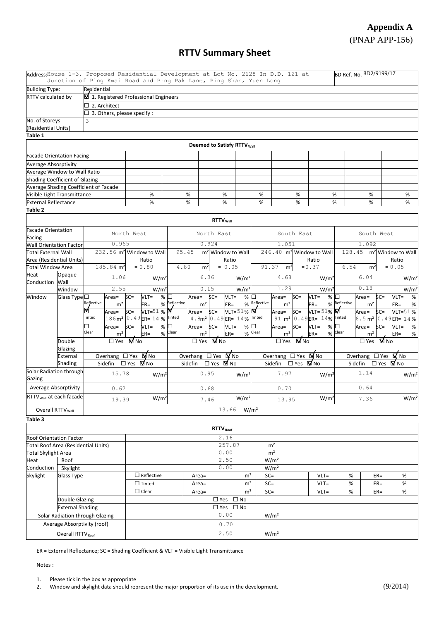# **Appendix A** (PNAP APP-156)

## **RTTV Summary Sheet**

|                                                                               |                              | Address: House 1-3, Proposed Residential Development at Lot No. 2128 In D.D. 121 at<br>Junction of Ping Kwai Road and Ping Pak Lane, Ping Shan, Yuen Long |                                                                                 |                      |                                                          |                  |                                         |                  |                                                 | BD Ref. No. BD2/9199/17 |                       |                                                |  |  |  |
|-------------------------------------------------------------------------------|------------------------------|-----------------------------------------------------------------------------------------------------------------------------------------------------------|---------------------------------------------------------------------------------|----------------------|----------------------------------------------------------|------------------|-----------------------------------------|------------------|-------------------------------------------------|-------------------------|-----------------------|------------------------------------------------|--|--|--|
| <b>Building Type:</b>                                                         |                              | Residential                                                                                                                                               |                                                                                 |                      |                                                          |                  |                                         |                  |                                                 |                         |                       |                                                |  |  |  |
| RTTV calculated by                                                            |                              | 1. Registered Professional Engineers                                                                                                                      |                                                                                 |                      |                                                          |                  |                                         |                  |                                                 |                         |                       |                                                |  |  |  |
|                                                                               |                              | $\Box$ 2. Architect                                                                                                                                       |                                                                                 |                      |                                                          |                  |                                         |                  |                                                 |                         |                       |                                                |  |  |  |
|                                                                               |                              | $\Box$ 3. Others, please specify :                                                                                                                        |                                                                                 |                      |                                                          |                  |                                         |                  |                                                 |                         |                       |                                                |  |  |  |
| No. of Storeys                                                                |                              | 3                                                                                                                                                         |                                                                                 |                      |                                                          |                  |                                         |                  |                                                 |                         |                       |                                                |  |  |  |
| (Residential Units)                                                           |                              |                                                                                                                                                           |                                                                                 |                      |                                                          |                  |                                         |                  |                                                 |                         |                       |                                                |  |  |  |
| Table 1                                                                       |                              |                                                                                                                                                           |                                                                                 |                      |                                                          |                  |                                         |                  |                                                 |                         |                       |                                                |  |  |  |
|                                                                               |                              |                                                                                                                                                           |                                                                                 |                      |                                                          |                  |                                         |                  |                                                 |                         |                       |                                                |  |  |  |
|                                                                               |                              |                                                                                                                                                           |                                                                                 |                      | <b>Deemed to Satisfy RTTV Wall</b>                       |                  |                                         |                  |                                                 |                         |                       |                                                |  |  |  |
| <b>Facade Orientation Facing</b>                                              |                              |                                                                                                                                                           |                                                                                 |                      |                                                          |                  |                                         |                  |                                                 |                         |                       |                                                |  |  |  |
| <b>Average Absorptivity</b>                                                   |                              |                                                                                                                                                           |                                                                                 |                      |                                                          |                  |                                         |                  |                                                 |                         |                       |                                                |  |  |  |
| Average Window to Wall Ratio                                                  |                              |                                                                                                                                                           |                                                                                 |                      |                                                          |                  |                                         |                  |                                                 |                         |                       |                                                |  |  |  |
| Shading Coefficient of Glazing                                                |                              |                                                                                                                                                           |                                                                                 |                      |                                                          |                  |                                         |                  |                                                 |                         |                       |                                                |  |  |  |
|                                                                               |                              | Average Shading Coefficient of Facade                                                                                                                     |                                                                                 |                      |                                                          |                  |                                         |                  |                                                 |                         |                       |                                                |  |  |  |
| Visible Light Transmittance                                                   |                              |                                                                                                                                                           | %                                                                               | %                    | %                                                        |                  | %                                       |                  | %                                               | %<br>%                  |                       | %                                              |  |  |  |
| <b>External Reflectance</b>                                                   |                              |                                                                                                                                                           | %                                                                               | $\%$                 | %                                                        |                  | $\%$                                    |                  | $\%$                                            | $\%$                    | %                     | %                                              |  |  |  |
| Table 2                                                                       |                              |                                                                                                                                                           |                                                                                 |                      |                                                          |                  |                                         |                  |                                                 |                         |                       |                                                |  |  |  |
|                                                                               |                              |                                                                                                                                                           |                                                                                 |                      | RTTV <sub>wall</sub>                                     |                  |                                         |                  |                                                 |                         |                       |                                                |  |  |  |
|                                                                               |                              |                                                                                                                                                           |                                                                                 |                      |                                                          |                  |                                         |                  |                                                 |                         |                       |                                                |  |  |  |
| <b>Facade Orientation</b>                                                     |                              |                                                                                                                                                           | North West                                                                      |                      | North East                                               |                  |                                         | South East       |                                                 |                         | South West            |                                                |  |  |  |
| Facing                                                                        |                              | 0.965                                                                                                                                                     |                                                                                 |                      | 0.924                                                    |                  |                                         | 1.051            |                                                 |                         | 1.092                 |                                                |  |  |  |
| <b>Wall Orientation Factor</b><br><b>Total External Wall</b>                  |                              |                                                                                                                                                           | 232.56 m <sup>2</sup> Window to Wall                                            | 95.45                | m <sup>2</sup> Window to Wall                            |                  |                                         |                  | 246.40 m <sup>2</sup> Window to Wall            | 128.45                  |                       |                                                |  |  |  |
|                                                                               |                              |                                                                                                                                                           | Ratio                                                                           |                      | Ratio                                                    |                  |                                         |                  | Ratio                                           |                         |                       | m <sup>2</sup> Window to Wall<br>Ratio         |  |  |  |
| Area (Residential Units)<br>185.84 m <sup>2</sup><br><b>Total Window Area</b> |                              |                                                                                                                                                           | $= 0.80$                                                                        | 4.80                 | $= 0.05$                                                 |                  | 91.37                                   |                  | $= 0.37$                                        | 6.54                    |                       | $= 0.05$                                       |  |  |  |
|                                                                               |                              |                                                                                                                                                           |                                                                                 |                      | m <sup>2</sup>                                           |                  |                                         | m <sup>2</sup>   |                                                 |                         | m <sup>2</sup>        |                                                |  |  |  |
| Heat<br>Conduction Wall                                                       | Opaque                       | 1.06                                                                                                                                                      | W/m <sup>2</sup>                                                                |                      | 6.36                                                     | W/m <sup>2</sup> | 4.68<br>1.29                            |                  | W/m <sup>2</sup>                                |                         | 6.04<br>0.18          | W/m <sup>2</sup>                               |  |  |  |
|                                                                               | Window                       | 2.55                                                                                                                                                      | W/m <sup>2</sup>                                                                |                      | 0.15                                                     | W/m <sup>2</sup> |                                         |                  | W/m <sup>2</sup>                                |                         |                       | W/m <sup>2</sup>                               |  |  |  |
| Window                                                                        | Glass Type <sup>[]</sup>     | Area=<br>Reflective                                                                                                                                       | $SC =$<br>$VLT =$<br>%                                                          | $\Box$<br>Reflective | $SC =$<br>$VLT =$<br>Area=                               | %                | □<br>% Reflective                       | Area=            | $SC =$<br>$VLT =$                               | %<br>% Reflective       | Area=                 | $SC =$<br>$VLT =$<br>%                         |  |  |  |
|                                                                               |                              | m <sup>2</sup><br>M                                                                                                                                       | $ER =$<br>%                                                                     |                      | m <sup>2</sup><br>$ER =$                                 | $VLT = 51%$      |                                         | m <sup>2</sup>   | $ER =$<br>VLT= $51\%$                           |                         | m <sup>2</sup>        | $ER =$<br>%                                    |  |  |  |
|                                                                               |                              | Area=<br>Tinted                                                                                                                                           | VLT=51 % $\blacksquare$<br>$SC =$<br>186m <sup>2</sup> 0.49 <sub>ER= 14</sub> % | Tinted               | $SC =$<br>Area=<br>4.8m <sup>2</sup> 0.49 ER= 14% Tinted |                  |                                         | Area=            | $SC =$<br>91 m <sup>2</sup> 0.49 ER= 14% Tinted |                         | Area=                 | VLT=51%<br>$SC =$                              |  |  |  |
|                                                                               |                              |                                                                                                                                                           |                                                                                 |                      |                                                          |                  |                                         |                  |                                                 |                         | $6.5 \text{ m}^2$     | 0.49ER= 14%                                    |  |  |  |
|                                                                               |                              | □<br>Area=<br>Clear                                                                                                                                       | $\%$<br>$SC =$<br>$VLT =$                                                       | Clear                | Area=<br>$SC =$<br>$VLT =$                               | %                | Clear                                   | Area=            | $SC =$<br>$VLT =$                               | $\%$<br>$%$ Clear       | Area=                 | $SC =$<br>$VLT =$<br>%                         |  |  |  |
|                                                                               |                              | m <sup>2</sup>                                                                                                                                            | %<br>$ER =$                                                                     |                      | m <sup>2</sup><br>$ER =$                                 | $\%$             | m <sup>2</sup><br>$\overline{\Box}$ Yes |                  | $ER =$                                          |                         | m <sup>2</sup>        | %<br>$ER =$                                    |  |  |  |
|                                                                               | Double                       | $\square$ Yes                                                                                                                                             | M No                                                                            |                      | <b>M</b> <sub>No</sub><br>$\square$ Yes                  |                  |                                         |                  | M No                                            |                         | $\overline{\Box}$ Yes | <b>M</b> <sub>No</sub>                         |  |  |  |
|                                                                               | Glazing<br>External          |                                                                                                                                                           | M No                                                                            |                      | M No<br>Overhang $\Box$ Yes                              |                  | Overhang $\Box$ Yes                     |                  | M No                                            |                         |                       | Overhang $\Box$ Yes $\overline{\mathbf{M}}$ No |  |  |  |
|                                                                               |                              | Overhang $\Box$ Yes<br>Sidefin □ Yes ■ No                                                                                                                 |                                                                                 |                      | □ Yes MI No                                              |                  | Sidefin                                 |                  | □ Yes MV No                                     |                         |                       | □ Yes MINO                                     |  |  |  |
|                                                                               | Shading                      |                                                                                                                                                           |                                                                                 | Sidefin              |                                                          |                  |                                         |                  |                                                 |                         | Sidefin               |                                                |  |  |  |
| Solar Radiation through                                                       |                              | 15.78                                                                                                                                                     | W/m <sup>2</sup>                                                                |                      | 0.95                                                     | W/m <sup>2</sup> |                                         | 7.97             |                                                 | W/m <sup>2</sup>        | 1.14                  | W/m <sup>2</sup>                               |  |  |  |
| Gazing                                                                        |                              |                                                                                                                                                           |                                                                                 |                      |                                                          |                  |                                         |                  |                                                 |                         |                       |                                                |  |  |  |
| <b>Average Absorptivity</b>                                                   |                              | 0.62                                                                                                                                                      |                                                                                 |                      | 0.68                                                     |                  |                                         | 0.70             |                                                 |                         | 0.64                  |                                                |  |  |  |
| RTTV <sub>Wall</sub> at each facade                                           |                              | 19.39                                                                                                                                                     | W/m <sup>2</sup>                                                                |                      | 7.46                                                     | W/m <sup>2</sup> |                                         | 13.95            | W/m <sup>2</sup>                                |                         | 7.36                  | W/m <sup>2</sup>                               |  |  |  |
| Overall RTTV <sub>Wall</sub>                                                  |                              |                                                                                                                                                           | $13.66$ W/m <sup>2</sup>                                                        |                      |                                                          |                  |                                         |                  |                                                 |                         |                       |                                                |  |  |  |
|                                                                               |                              |                                                                                                                                                           |                                                                                 |                      |                                                          |                  |                                         |                  |                                                 |                         |                       |                                                |  |  |  |
| Table 3                                                                       |                              |                                                                                                                                                           |                                                                                 |                      |                                                          |                  |                                         |                  |                                                 |                         |                       |                                                |  |  |  |
|                                                                               |                              |                                                                                                                                                           |                                                                                 |                      | RTTV <sub>Roof</sub>                                     |                  |                                         |                  |                                                 |                         |                       |                                                |  |  |  |
| <b>Roof Orientation Factor</b>                                                |                              |                                                                                                                                                           |                                                                                 |                      | 2.16                                                     |                  |                                         |                  |                                                 |                         |                       |                                                |  |  |  |
| Total Roof Area (Residential Units)                                           |                              |                                                                                                                                                           |                                                                                 |                      | 257.87                                                   |                  | m <sup>2</sup>                          |                  |                                                 |                         |                       |                                                |  |  |  |
| <b>Total Skylight Area</b>                                                    |                              |                                                                                                                                                           |                                                                                 |                      | 0.00                                                     |                  | m <sup>2</sup>                          |                  |                                                 |                         |                       |                                                |  |  |  |
| Heat                                                                          | Roof                         |                                                                                                                                                           |                                                                                 |                      | 2.50                                                     |                  | W/m <sup>2</sup>                        |                  |                                                 |                         |                       |                                                |  |  |  |
| Conduction                                                                    | Skylight                     | 0.00<br>W/m <sup>2</sup>                                                                                                                                  |                                                                                 |                      |                                                          |                  |                                         |                  |                                                 |                         |                       |                                                |  |  |  |
| Skylight                                                                      | <b>Glass Type</b>            |                                                                                                                                                           | $\Box$ Reflective                                                               |                      | m <sup>2</sup><br>$Area=$                                |                  |                                         | $SC =$           |                                                 | %                       | $ER =$                | $\%$                                           |  |  |  |
|                                                                               |                              |                                                                                                                                                           | $\Box$ Tinted                                                                   |                      | $Area=$                                                  |                  | m <sup>2</sup>                          | $SC =$           |                                                 | %                       | $ER =$                | $\%$                                           |  |  |  |
|                                                                               |                              |                                                                                                                                                           | $\Box$ Clear                                                                    |                      | m <sup>2</sup><br>Area=                                  |                  |                                         | $SC =$           | $VLT =$<br>$VLT =$                              | %                       | $ER =$                |                                                |  |  |  |
|                                                                               | Double Glazing               |                                                                                                                                                           | $\%$<br>□ Yes □ No                                                              |                      |                                                          |                  |                                         |                  |                                                 |                         |                       |                                                |  |  |  |
|                                                                               | <b>External Shading</b>      |                                                                                                                                                           | $\Box$ Yes $\Box$ No                                                            |                      |                                                          |                  |                                         |                  |                                                 |                         |                       |                                                |  |  |  |
|                                                                               |                              | Solar Radiation through Glazing                                                                                                                           | 0.00                                                                            |                      |                                                          |                  |                                         |                  |                                                 |                         |                       |                                                |  |  |  |
|                                                                               | Average Absorptivity (roof)  |                                                                                                                                                           | W/m <sup>2</sup><br>0.70                                                        |                      |                                                          |                  |                                         |                  |                                                 |                         |                       |                                                |  |  |  |
|                                                                               |                              |                                                                                                                                                           |                                                                                 |                      |                                                          |                  |                                         |                  |                                                 |                         |                       |                                                |  |  |  |
|                                                                               | Overall RTTV <sub>Roof</sub> |                                                                                                                                                           |                                                                                 |                      | 2.50                                                     |                  |                                         | W/m <sup>2</sup> |                                                 |                         |                       |                                                |  |  |  |

ER = External Reflectance; SC = Shading Coefficient & VLT = Visible Light Transmittance

Notes :

1. Please tick in the box as appropriate

2. Window and skylight data should represent the major proportion of its use in the development.  $(9/2014)$